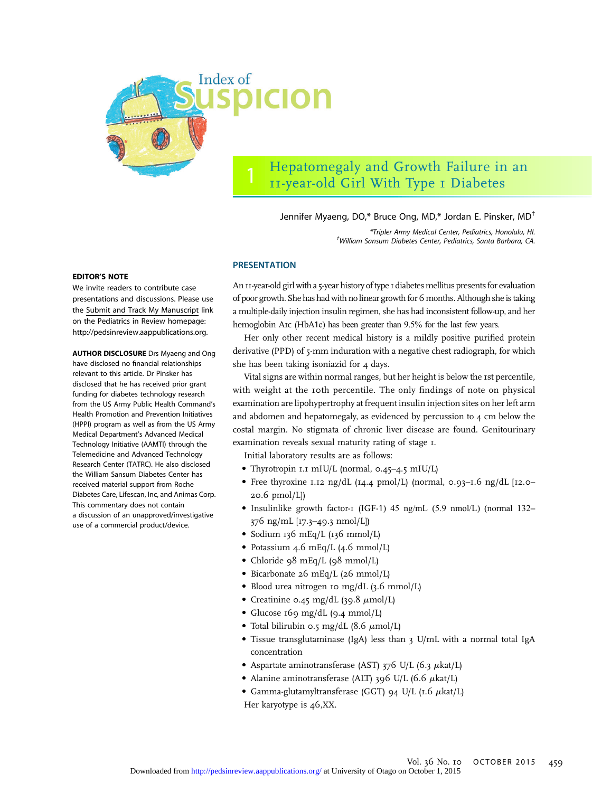

# Hepatomegaly and Growth Failure in an 11-year-old Girl With Type 1 Diabetes

## Jennifer Myaeng, DO,\* Bruce Ong, MD,\* Jordan E. Pinsker, MD†

\*Tripler Army Medical Center, Pediatrics, Honolulu, HI. † William Sansum Diabetes Center, Pediatrics, Santa Barbara, CA.

#### EDITOR'S NOTE

We invite readers to contribute case presentations and discussions. Please use the [Submit and Track My Manuscript](http://mc.manuscriptcentral.com/pir) link on the Pediatrics in Review homepage: [http://pedsinreview.aappublications.org.](http://pedsinreview.aappublications.org)

AUTHOR DISCLOSURE Drs Myaeng and Ong have disclosed no financial relationships relevant to this article. Dr Pinsker has disclosed that he has received prior grant funding for diabetes technology research from the US Army Public Health Command's Health Promotion and Prevention Initiatives (HPPI) program as well as from the US Army Medical Department's Advanced Medical Technology Initiative (AAMTI) through the Telemedicine and Advanced Technology Research Center (TATRC). He also disclosed the William Sansum Diabetes Center has received material support from Roche Diabetes Care, Lifescan, Inc, and Animas Corp. This commentary does not contain a discussion of an unapproved/investigative use of a commercial product/device.

# PRESENTATION

An 11-year-old girl with a 5-year history of type 1 diabetes mellitus presents for evaluation of poor growth. She has had with no linear growth for 6months. Although she is taking a multiple-daily injection insulin regimen, she has had inconsistent follow-up, and her hemoglobin A1c (HbA1c) has been greater than 9.5% for the last few years.

Her only other recent medical history is a mildly positive purified protein derivative (PPD) of 5-mm induration with a negative chest radiograph, for which she has been taking isoniazid for  $4$  days.

Vital signs are within normal ranges, but her height is below the 1st percentile, with weight at the 10th percentile. The only findings of note on physical examination are lipohypertrophy at frequent insulin injection sites on her left arm and abdomen and hepatomegaly, as evidenced by percussion to 4 cm below the costal margin. No stigmata of chronic liver disease are found. Genitourinary examination reveals sexual maturity rating of stage 1.

Initial laboratory results are as follows:

- Thyrotropin 1.1 mIU/L (normal, 0.45–4.5 mIU/L)
- Free thyroxine 1.12 ng/dL (14.4 pmol/L) (normal, 0.93–1.6 ng/dL [12.0– 20.6 pmol/L])
- Insulinlike growth factor-1 (IGF-1) 45 ng/mL (5.9 nmol/L) (normal 132– 376 ng/mL [17.3–49.3 nmol/L])
- Sodium 136 mEq/L (136 mmol/L)
- Potassium 4.6 mEq/L (4.6 mmol/L)
- Chloride 98 mEq/L (98 mmol/L)
- Bicarbonate 26 mEq/L (26 mmol/L)
- Blood urea nitrogen 10 mg/dL (3.6 mmol/L)
- Creatinine 0.45 mg/dL (39.8  $\mu$ mol/L)
- Glucose 169 mg/dL (9.4 mmol/L)
- Total bilirubin 0.5 mg/dL  $(8.6 \mu \text{mol/L})$
- Tissue transglutaminase (IgA) less than 3 U/mL with a normal total IgA concentration
- Aspartate aminotransferase (AST) 376 U/L (6.3  $\mu$ kat/L)
- Alanine aminotransferase (ALT) 396 U/L (6.6  $\mu$ kat/L)
- Gamma-glutamyltransferase (GGT) 94 U/L  $(I.6 \mu \text{kat/L})$
- Her karyotype is 46,XX.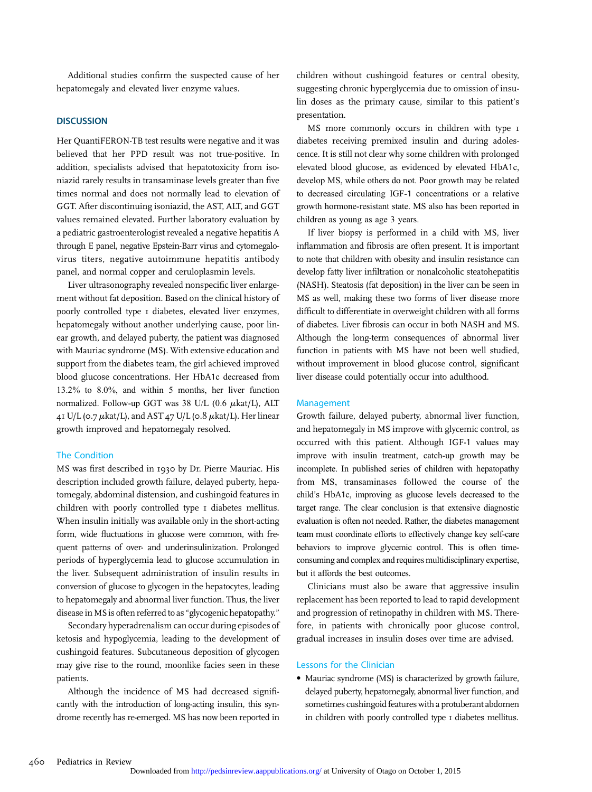Additional studies confirm the suspected cause of her hepatomegaly and elevated liver enzyme values.

## **DISCUSSION**

Her QuantiFERON-TB test results were negative and it was believed that her PPD result was not true-positive. In addition, specialists advised that hepatotoxicity from isoniazid rarely results in transaminase levels greater than five times normal and does not normally lead to elevation of GGT. After discontinuing isoniazid, the AST, ALT, and GGT values remained elevated. Further laboratory evaluation by a pediatric gastroenterologist revealed a negative hepatitis A through E panel, negative Epstein-Barr virus and cytomegalovirus titers, negative autoimmune hepatitis antibody panel, and normal copper and ceruloplasmin levels.

Liver ultrasonography revealed nonspecific liver enlargement without fat deposition. Based on the clinical history of poorly controlled type 1 diabetes, elevated liver enzymes, hepatomegaly without another underlying cause, poor linear growth, and delayed puberty, the patient was diagnosed with Mauriac syndrome (MS). With extensive education and support from the diabetes team, the girl achieved improved blood glucose concentrations. Her HbA1c decreased from 13.2% to 8.0%, and within 5 months, her liver function normalized. Follow-up GGT was 38 U/L (0.6  $\mu$ kat/L), ALT 41 U/L (0.7  $\mu$ kat/L), and AST 47 U/L (0.8  $\mu$ kat/L). Her linear growth improved and hepatomegaly resolved.

### The Condition

MS was first described in 1930 by Dr. Pierre Mauriac. His description included growth failure, delayed puberty, hepatomegaly, abdominal distension, and cushingoid features in children with poorly controlled type 1 diabetes mellitus. When insulin initially was available only in the short-acting form, wide fluctuations in glucose were common, with frequent patterns of over- and underinsulinization. Prolonged periods of hyperglycemia lead to glucose accumulation in the liver. Subsequent administration of insulin results in conversion of glucose to glycogen in the hepatocytes, leading to hepatomegaly and abnormal liver function. Thus, the liver disease in MSis often referred to as "glycogenic hepatopathy."

Secondary hyperadrenalism can occur during episodes of ketosis and hypoglycemia, leading to the development of cushingoid features. Subcutaneous deposition of glycogen may give rise to the round, moonlike facies seen in these patients.

Although the incidence of MS had decreased significantly with the introduction of long-acting insulin, this syndrome recently has re-emerged. MS has now been reported in children without cushingoid features or central obesity, suggesting chronic hyperglycemia due to omission of insulin doses as the primary cause, similar to this patient's presentation.

MS more commonly occurs in children with type  $I$ diabetes receiving premixed insulin and during adolescence. It is still not clear why some children with prolonged elevated blood glucose, as evidenced by elevated HbA1c, develop MS, while others do not. Poor growth may be related to decreased circulating IGF-1 concentrations or a relative growth hormone-resistant state. MS also has been reported in children as young as age 3 years.

If liver biopsy is performed in a child with MS, liver inflammation and fibrosis are often present. It is important to note that children with obesity and insulin resistance can develop fatty liver infiltration or nonalcoholic steatohepatitis (NASH). Steatosis (fat deposition) in the liver can be seen in MS as well, making these two forms of liver disease more difficult to differentiate in overweight children with all forms of diabetes. Liver fibrosis can occur in both NASH and MS. Although the long-term consequences of abnormal liver function in patients with MS have not been well studied, without improvement in blood glucose control, significant liver disease could potentially occur into adulthood.

#### Management

Growth failure, delayed puberty, abnormal liver function, and hepatomegaly in MS improve with glycemic control, as occurred with this patient. Although IGF-1 values may improve with insulin treatment, catch-up growth may be incomplete. In published series of children with hepatopathy from MS, transaminases followed the course of the child's HbA1c, improving as glucose levels decreased to the target range. The clear conclusion is that extensive diagnostic evaluation is often not needed. Rather, the diabetes management team must coordinate efforts to effectively change key self-care behaviors to improve glycemic control. This is often timeconsuming and complex and requires multidisciplinary expertise, but it affords the best outcomes.

Clinicians must also be aware that aggressive insulin replacement has been reported to lead to rapid development and progression of retinopathy in children with MS. Therefore, in patients with chronically poor glucose control, gradual increases in insulin doses over time are advised.

### Lessons for the Clinician

• Mauriac syndrome (MS) is characterized by growth failure, delayed puberty, hepatomegaly, abnormal liver function, and sometimes cushingoid features with a protuberant abdomen in children with poorly controlled type 1 diabetes mellitus.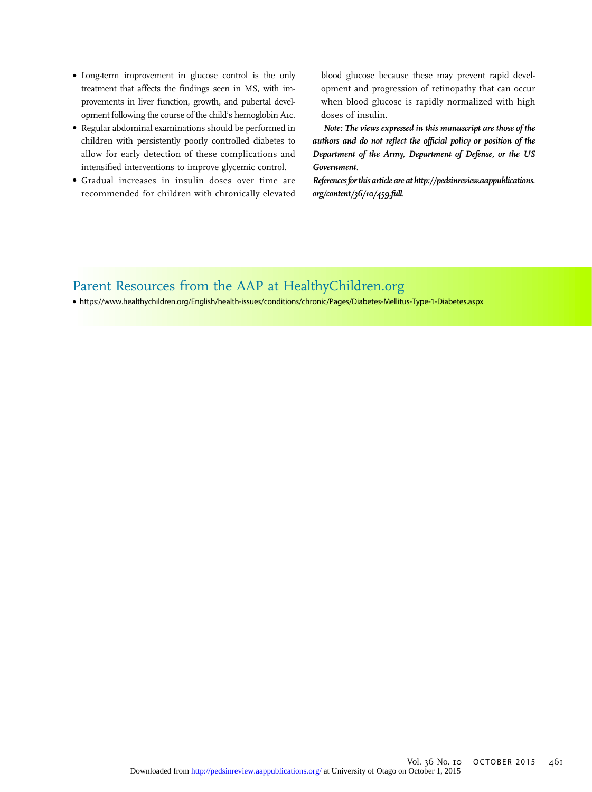- Long-term improvement in glucose control is the only treatment that affects the findings seen in MS, with improvements in liver function, growth, and pubertal development following the course of the child's hemoglobin A1c.
- Regular abdominal examinations should be performed in children with persistently poorly controlled diabetes to allow for early detection of these complications and intensified interventions to improve glycemic control.
- Gradual increases in insulin doses over time are recommended for children with chronically elevated

blood glucose because these may prevent rapid development and progression of retinopathy that can occur when blood glucose is rapidly normalized with high doses of insulin.

Note: The views expressed in this manuscript are those of the authors and do not reflect the official policy or position of the Department of the Army, Department of Defense, or the US Government.

References for this article are at [http://pedsinreview.aappublications.](http://pedsinreview.aappublications.org/content/36/10/459.full) [org/content/36/10/459.full](http://pedsinreview.aappublications.org/content/36/10/459.full).

# Parent Resources from the AAP at [HealthyChildren.org](http://HealthyChildren.org)

• <https://www.healthychildren.org/English/health-issues/conditions/chronic/Pages/Diabetes-Mellitus-Type-1-Diabetes.aspx>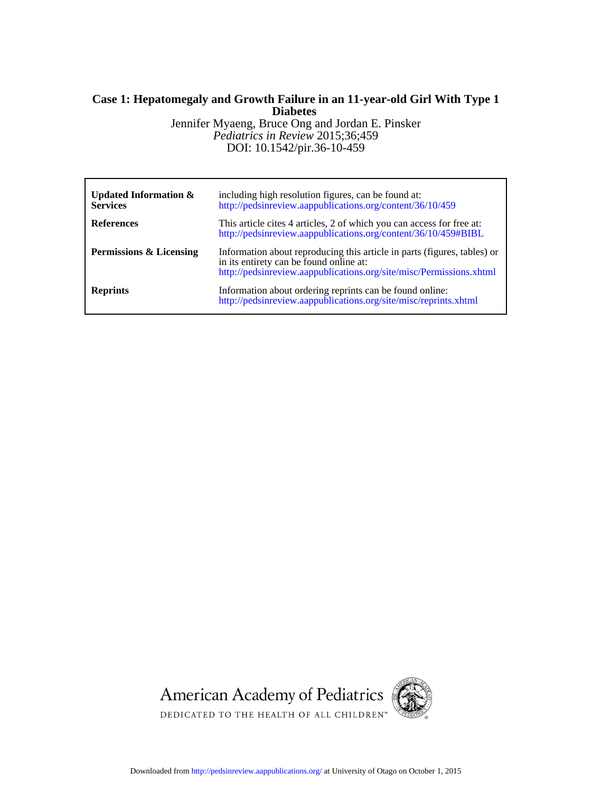# **Diabetes Case 1: Hepatomegaly and Growth Failure in an 11-year-old Girl With Type 1**

DOI: 10.1542/pir.36-10-459 *Pediatrics in Review* 2015;36;459 Jennifer Myaeng, Bruce Ong and Jordan E. Pinsker

| <b>Updated Information &amp;</b><br><b>Services</b> | including high resolution figures, can be found at:<br>http://pedsinreview.aappublications.org/content/36/10/459                                                                           |
|-----------------------------------------------------|--------------------------------------------------------------------------------------------------------------------------------------------------------------------------------------------|
| <b>References</b>                                   | This article cites 4 articles, 2 of which you can access for free at:<br>http://pedsinreview.aappublications.org/content/36/10/459#BIBL                                                    |
| <b>Permissions &amp; Licensing</b>                  | Information about reproducing this article in parts (figures, tables) or<br>in its entirety can be found online at:<br>http://pedsinreview.aappublications.org/site/misc/Permissions.xhtml |
| <b>Reprints</b>                                     | Information about ordering reprints can be found online:<br>http://pedsinreview.aappublications.org/site/misc/reprints.xhtml                                                               |